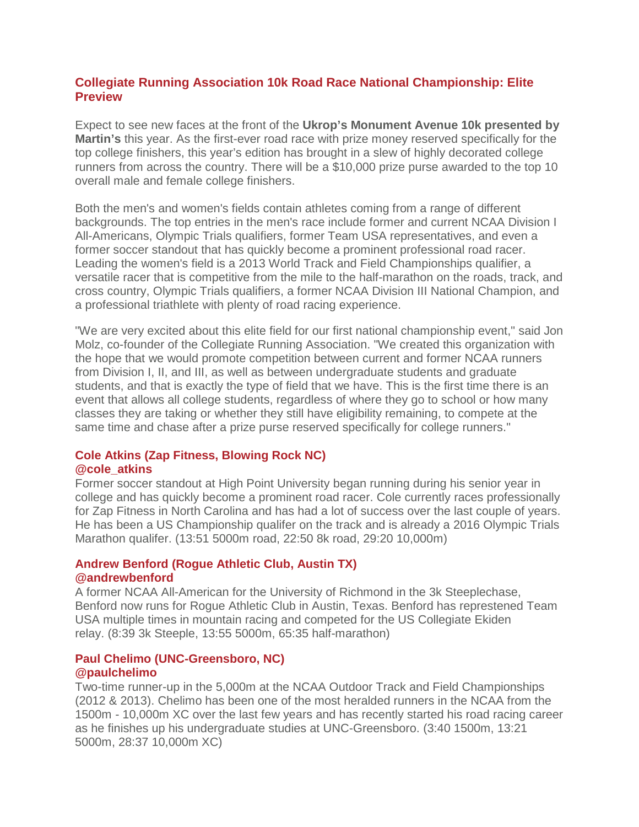# **Collegiate Running Association 10k Road Race National Championship: Elite Preview**

Expect to see new faces at the front of the **Ukrop's Monument Avenue 10k presented by Martin's** this year. As the first-ever road race with prize money reserved specifically for the top college finishers, this year's edition has brought in a slew of highly decorated college runners from across the country. There will be a \$10,000 prize purse awarded to the top 10 overall male and female college finishers.

Both the men's and women's fields contain athletes coming from a range of different backgrounds. The top entries in the men's race include former and current NCAA Division I All-Americans, Olympic Trials qualifiers, former Team USA representatives, and even a former soccer standout that has quickly become a prominent professional road racer. Leading the women's field is a 2013 World Track and Field Championships qualifier, a versatile racer that is competitive from the mile to the half-marathon on the roads, track, and cross country, Olympic Trials qualifiers, a former NCAA Division III National Champion, and a professional triathlete with plenty of road racing experience.

"We are very excited about this elite field for our first national championship event," said Jon Molz, co-founder of the Collegiate Running Association. "We created this organization with the hope that we would promote competition between current and former NCAA runners from Division I, II, and III, as well as between undergraduate students and graduate students, and that is exactly the type of field that we have. This is the first time there is an event that allows all college students, regardless of where they go to school or how many classes they are taking or whether they still have eligibility remaining, to compete at the same time and chase after a prize purse reserved specifically for college runners."

#### **Cole Atkins (Zap Fitness, Blowing Rock NC) @cole\_atkins**

Former soccer standout at High Point University began running during his senior year in college and has quickly become a prominent road racer. Cole currently races professionally for Zap Fitness in North Carolina and has had a lot of success over the last couple of years. He has been a US Championship qualifer on the track and is already a 2016 Olympic Trials Marathon qualifer. (13:51 5000m road, 22:50 8k road, 29:20 10,000m)

### **Andrew Benford (Rogue Athletic Club, Austin TX) @andrewbenford**

A former NCAA All-American for the University of Richmond in the 3k Steeplechase, Benford now runs for Rogue Athletic Club in Austin, Texas. Benford has represtened Team USA multiple times in mountain racing and competed for the US Collegiate Ekiden relay. (8:39 3k Steeple, 13:55 5000m, 65:35 half-marathon)

### **Paul Chelimo (UNC-Greensboro, NC) @paulchelimo**

Two-time runner-up in the 5,000m at the NCAA Outdoor Track and Field Championships (2012 & 2013). Chelimo has been one of the most heralded runners in the NCAA from the 1500m - 10,000m XC over the last few years and has recently started his road racing career as he finishes up his undergraduate studies at UNC-Greensboro. (3:40 1500m, 13:21 5000m, 28:37 10,000m XC)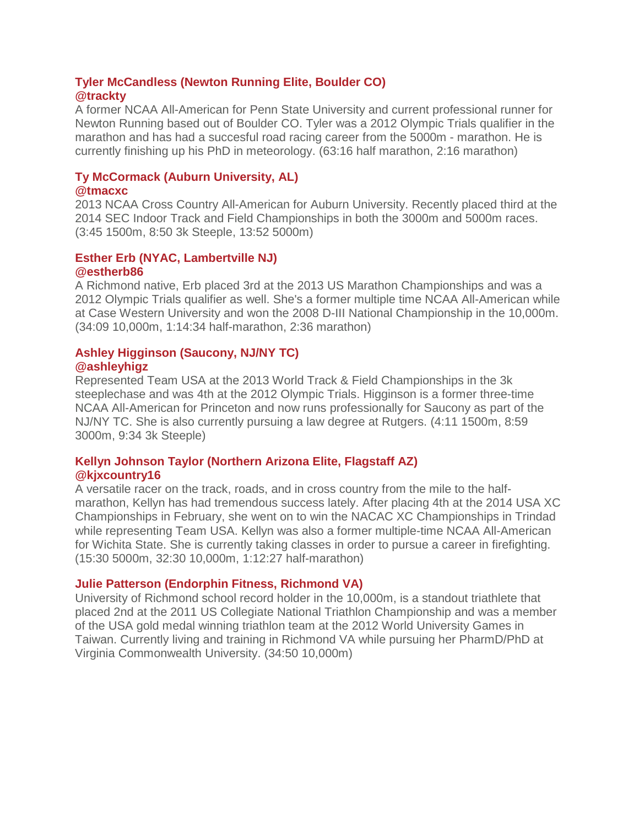## **Tyler McCandless (Newton Running Elite, Boulder CO) @trackty**

A former NCAA All-American for Penn State University and current professional runner for Newton Running based out of Boulder CO. Tyler was a 2012 Olympic Trials qualifier in the marathon and has had a succesful road racing career from the 5000m - marathon. He is currently finishing up his PhD in meteorology. (63:16 half marathon, 2:16 marathon)

#### **Ty McCormack (Auburn University, AL) @tmacxc**

2013 NCAA Cross Country All-American for Auburn University. Recently placed third at the 2014 SEC Indoor Track and Field Championships in both the 3000m and 5000m races. (3:45 1500m, 8:50 3k Steeple, 13:52 5000m)

## **Esther Erb (NYAC, Lambertville NJ) @estherb86**

A Richmond native, Erb placed 3rd at the 2013 US Marathon Championships and was a 2012 Olympic Trials qualifier as well. She's a former multiple time NCAA All-American while at Case Western University and won the 2008 D-III National Championship in the 10,000m. (34:09 10,000m, 1:14:34 half-marathon, 2:36 marathon)

## **Ashley Higginson (Saucony, NJ/NY TC) @ashleyhigz**

Represented Team USA at the 2013 World Track & Field Championships in the 3k steeplechase and was 4th at the 2012 Olympic Trials. Higginson is a former three-time NCAA All-American for Princeton and now runs professionally for Saucony as part of the NJ/NY TC. She is also currently pursuing a law degree at Rutgers. (4:11 1500m, 8:59 3000m, 9:34 3k Steeple)

## **Kellyn Johnson Taylor (Northern Arizona Elite, Flagstaff AZ) @kjxcountry16**

A versatile racer on the track, roads, and in cross country from the mile to the halfmarathon, Kellyn has had tremendous success lately. After placing 4th at the 2014 USA XC Championships in February, she went on to win the NACAC XC Championships in Trindad while representing Team USA. Kellyn was also a former multiple-time NCAA All-American for Wichita State. She is currently taking classes in order to pursue a career in firefighting. (15:30 5000m, 32:30 10,000m, 1:12:27 half-marathon)

# **Julie Patterson (Endorphin Fitness, Richmond VA)**

University of Richmond school record holder in the 10,000m, is a standout triathlete that placed 2nd at the 2011 US Collegiate National Triathlon Championship and was a member of the USA gold medal winning triathlon team at the 2012 World University Games in Taiwan. Currently living and training in Richmond VA while pursuing her PharmD/PhD at Virginia Commonwealth University. (34:50 10,000m)